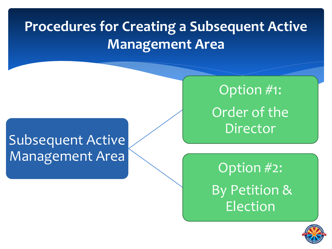# **Procedures for Creating a Subsequent Active Management Area**

# Subsequent Active Management Area

Option #1: Order of the Director

Option #2: By Petition & Election

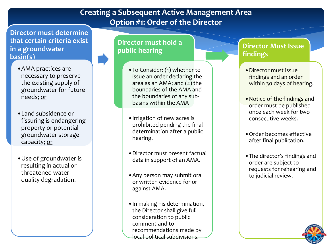## **Creating a Subsequent Active Management Area Option #1: Order of the Director**

**Director must determine that certain criteria exist in a groundwater basin(s)**

- •AMA practices are necessary to preserve the existing supply of groundwater for future needs; or
- •Land subsidence or fissuring is endangering property or potential groundwater storage capacity; or
- •Use of groundwater is resulting in actual or threatened water quality degradation.

## **Director must hold a public hearing**

- •To Consider: (1) whether to issue an order declaring the area as an AMA; and (2) the boundaries of the AMA and the boundaries of any subbasins within the AMA
- •Irrigation of new acres is prohibited pending the final determination after a public hearing.
- •Director must present factual data in support of an AMA.
- •Any person may submit oral or written evidence for or against AMA.
- •In making his determination, the Director shall give full consideration to public comment and to recommendations made by local political subdivisions.

### **Director Must Issue findings**

- •Director must issue findings and an order within 30 days of hearing.
- •Notice of the findings and order must be published once each week for two consecutive weeks.
- •Order becomes effective after final publication.
- •The director's findings and order are subject to requests for rehearing and to judicial review.

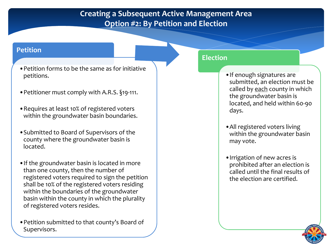## **Creating a Subsequent Active Management Area Option #2: By Petition and Election**

### **Petition**

- •Petition forms to be the same as for initiative petitions.
- •Petitioner must comply with A.R.S. §19-111.
- •Requires at least 10% of registered voters within the groundwater basin boundaries.
- •Submitted to Board of Supervisors of the county where the groundwater basin is located.
- •If the groundwater basin is located in more than one county, then the number of registered voters required to sign the petition shall be 10% of the registered voters residing within the boundaries of the groundwater basin within the county in which the plurality of registered voters resides.
- •Petition submitted to that county's Board of Supervisors.

### **Election**

- •If enough signatures are submitted, an election must be called by each county in which the groundwater basin is located, and held within 60-90 days.
- •All registered voters living within the groundwater basin may vote.
- •Irrigation of new acres is prohibited after an election is called until the final results of the election are certified.

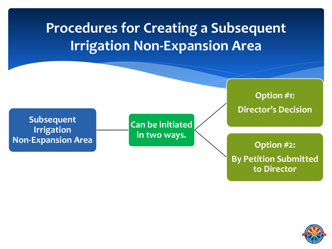# **Procedures for Creating a Subsequent Irrigation Non-Expansion Area**

**Subsequent Irrigation Non-Expansion Area**

**Can be initiated in two ways.** 

**Option #1: Director's Decision** 

**Option #2: By Petition Submitted to Director**

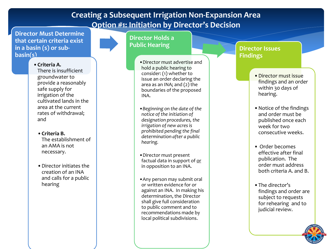## **Creating a Subsequent Irrigation Non-Expansion Area Option #1: Initiation by Director's Decision**

**Director Must Determine that certain criteria exist in a basin (s) or subbasin(s)**

#### •**Criteria A.**

There is insufficient groundwater to provide a reasonably safe supply for irrigation of the cultivated lands in the area at the current rates of withdrawal; and

- •**Criteria B.**  The establishment of an AMA is not necessary.
- •Director initiates the creation of an INA and calls for a public hearing

#### **Director Holds a Public Hearing**

- •Director must advertise and hold a public hearing to consider: (1) whether to issue an order declaring the area as an INA; and (2) the boundaries of the proposed INA.
- •*Beginning on the date of the notice of the initiation of designation procedures, the irrigation of new acres is prohibited pending the final determination after a public hearing.*
- •Director must present factual data in support of or in opposition to an INA.
- •Any person may submit oral or written evidence for or against an INA. In making his determination, the Director shall give full consideration to public comment and to recommendations made by local political subdivisions.

#### **Director Issues Findings**

- •Director must issue findings and an order within 30 days of hearing.
- •Notice of the findings and order must be published once each week for two consecutive weeks.
- Order becomes effective after final publication. The order must address both criteria A. and B.
- •The director's findings and order are subject to requests for rehearing and to judicial review.

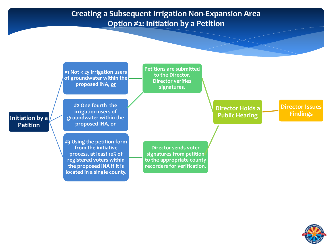## **Creating a Subsequent Irrigation Non-Expansion Area Option #2: Initiation by a Petition**